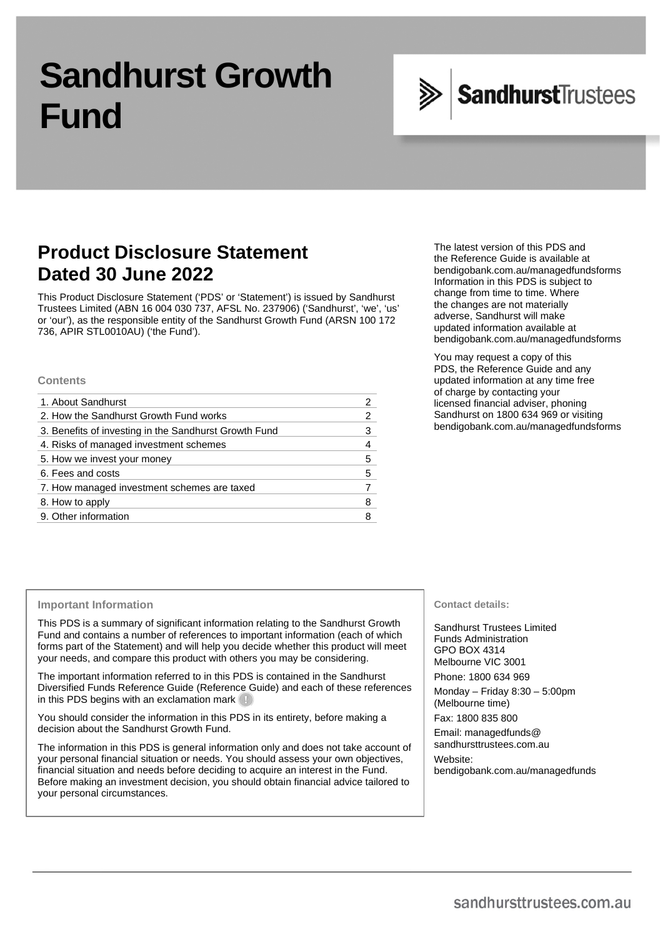# **Sandhurst Growth Fund**



# **Product Disclosure Statement Dated 30 June 2022**

This Product Disclosure Statement ('PDS' or 'Statement') is issued by Sandhurst Trustees Limited (ABN 16 004 030 737, AFSL No. 237906) ('Sandhurst', 'we', 'us' or 'our'), as the responsible entity of the Sandhurst Growth Fund (ARSN 100 172 736, APIR STL0010AU) ('the Fund').

## **Contents**

| 1. About Sandhurst                                    |   |
|-------------------------------------------------------|---|
| 2. How the Sandhurst Growth Fund works                | 2 |
| 3. Benefits of investing in the Sandhurst Growth Fund | 3 |
| 4. Risks of managed investment schemes                | 4 |
| 5. How we invest your money                           | 5 |
| 6. Fees and costs                                     | 5 |
| 7. How managed investment schemes are taxed           |   |
| 8. How to apply                                       | 8 |
| 9. Other information                                  |   |
|                                                       |   |

The latest version of this PDS and the Reference Guide is available at [bendigobank.com.au/managedfundsforms](https://bendigobank.com.au/managedfundsforms) Information in this PDS is subject to change from time to time. Where the changes are not materially adverse, Sandhurst will make updated information available at [bendigobank.com.au/managedfundsforms](https://bendigobank.com.au/managedfundsforms)

You may request a copy of this PDS, the Reference Guide and any updated information at any time free of charge by contacting your licensed financial adviser, phoning Sandhurst on 1800 634 969 or visiting [bendigobank.com.au/managedfundsforms](https://bendigobank.com.au/managedfundsforms)

## **Important Information**

This PDS is a summary of significant information relating to the Sandhurst Growth Fund and contains a number of references to important information (each of which forms part of the Statement) and will help you decide whether this product will meet your needs, and compare this product with others you may be considering.

The important information referred to in this PDS is contained in the Sandhurst Diversified Funds Reference Guide (Reference Guide) and each of these references in this PDS begins with an exclamation mark

You should consider the information in this PDS in its entirety, before making a decision about the Sandhurst Growth Fund.

The information in this PDS is general information only and does not take account of your personal financial situation or needs. You should assess your own objectives, financial situation and needs before deciding to acquire an interest in the Fund. Before making an investment decision, you should obtain financial advice tailored to your personal circumstances.

## **Contact details:**

Sandhurst Trustees Limited Funds Administration GPO BOX 4314 Melbourne VIC 3001 Phone: 1800 634 969 Monday – Friday 8:30 – 5:00pm

(Melbourne time)

Fax: 1800 835 800

Email: [managedfunds@](mailto:managedfunds@sandhursttrustees.com.au)  [sandhursttrustees.com.au](mailto:managedfunds@sandhursttrustees.com.au)

Website:

[bendigobank.com.au/managedfunds](https://www.bendigobank.com.au/managedfunds)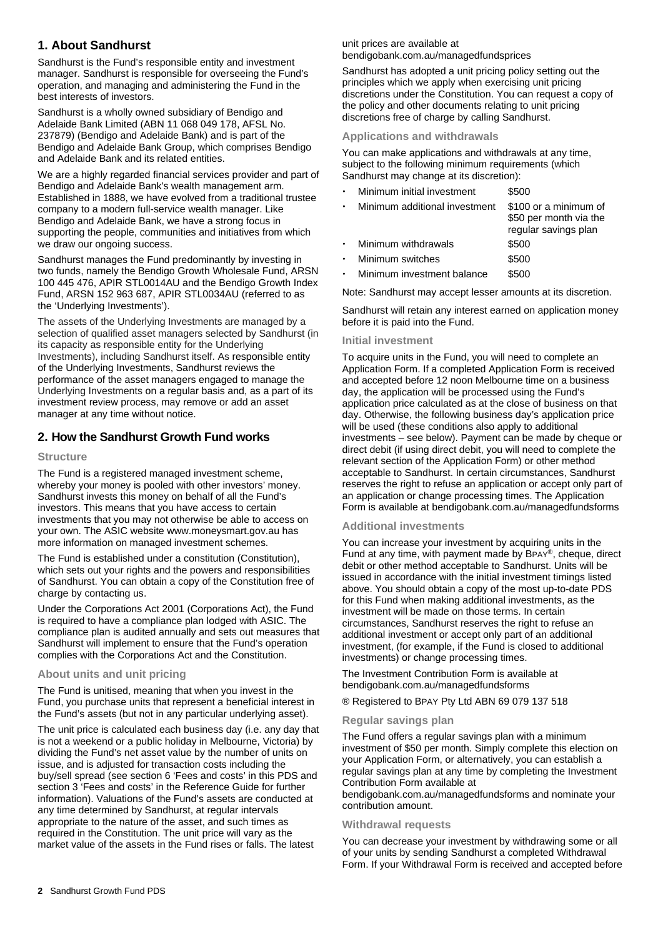## **1. About Sandhurst**

Sandhurst is the Fund's responsible entity and investment manager. Sandhurst is responsible for overseeing the Fund's operation, and managing and administering the Fund in the best interests of investors.

Sandhurst is a wholly owned subsidiary of Bendigo and Adelaide Bank Limited (ABN 11 068 049 178, AFSL No. 237879) (Bendigo and Adelaide Bank) and is part of the Bendigo and Adelaide Bank Group, which comprises Bendigo and Adelaide Bank and its related entities.

We are a highly regarded financial services provider and part of Bendigo and Adelaide Bank's wealth management arm. Established in 1888, we have evolved from a traditional trustee company to a modern full-service wealth manager. Like Bendigo and Adelaide Bank, we have a strong focus in supporting the people, communities and initiatives from which we draw our ongoing success.

Sandhurst manages the Fund predominantly by investing in two funds, namely the Bendigo Growth Wholesale Fund, ARSN 100 445 476, APIR STL0014AU and the Bendigo Growth Index Fund, ARSN 152 963 687, APIR STL0034AU (referred to as the 'Underlying Investments').

The assets of the Underlying Investments are managed by a selection of qualified asset managers selected by Sandhurst (in its capacity as responsible entity for the Underlying Investments), including Sandhurst itself. As responsible entity of the Underlying Investments, Sandhurst reviews the performance of the asset managers engaged to manage the Underlying Investments on a regular basis and, as a part of its investment review process, may remove or add an asset manager at any time without notice.

## **2. How the Sandhurst Growth Fund works**

## **Structure**

The Fund is a registered managed investment scheme, whereby your money is pooled with other investors' money. Sandhurst invests this money on behalf of all the Fund's investors. This means that you have access to certain investments that you may not otherwise be able to access on your own. The ASIC website [www.moneysmart.gov.au](https://moneysmart.gov.au/) has more information on managed investment schemes.

The Fund is established under a constitution (Constitution), which sets out your rights and the powers and responsibilities of Sandhurst. You can obtain a copy of the Constitution free of charge by contacting us.

Under the Corporations Act 2001 (Corporations Act), the Fund is required to have a compliance plan lodged with ASIC. The compliance plan is audited annually and sets out measures that Sandhurst will implement to ensure that the Fund's operation complies with the Corporations Act and the Constitution.

## **About units and unit pricing**

The Fund is unitised, meaning that when you invest in the Fund, you purchase units that represent a beneficial interest in the Fund's assets (but not in any particular underlying asset).

The unit price is calculated each business day (i.e. any day that is not a weekend or a public holiday in Melbourne, Victoria) by dividing the Fund's net asset value by the number of units on issue, and is adjusted for transaction costs including the buy/sell spread (see section 6 'Fees and costs' in this PDS and section 3 'Fees and costs' in the Reference Guide for further information). Valuations of the Fund's assets are conducted at any time determined by Sandhurst, at regular intervals appropriate to the nature of the asset, and such times as required in the Constitution. The unit price will vary as the market value of the assets in the Fund rises or falls. The latest

## unit prices are available at

[bendigobank.com.au/managedfundsprices](https://bendigobank.com.au/managedfundsprices)

Sandhurst has adopted a unit pricing policy setting out the principles which we apply when exercising unit pricing discretions under the Constitution. You can request a copy of the policy and other documents relating to unit pricing discretions free of charge by calling Sandhurst.

## **Applications and withdrawals**

You can make applications and withdrawals at any time, subject to the following minimum requirements (which Sandhurst may change at its discretion):

| Minimum initial investment    | \$500                                                                   |
|-------------------------------|-------------------------------------------------------------------------|
| Minimum additional investment | \$100 or a minimum of<br>\$50 per month via the<br>regular savings plan |
| Minimum withdrawals           | \$500                                                                   |
| Minimum switches              | \$500                                                                   |
| Minimum investment balance    | \$500                                                                   |

Note: Sandhurst may accept lesser amounts at its discretion.

Sandhurst will retain any interest earned on application money before it is paid into the Fund.

## **Initial investment**

To acquire units in the Fund, you will need to complete an Application Form. If a completed Application Form is received and accepted before 12 noon Melbourne time on a business day, the application will be processed using the Fund's application price calculated as at the close of business on that day. Otherwise, the following business day's application price will be used (these conditions also apply to additional investments – see below). Payment can be made by cheque or direct debit (if using direct debit, you will need to complete the relevant section of the Application Form) or other method acceptable to Sandhurst. In certain circumstances, Sandhurst reserves the right to refuse an application or accept only part of an application or change processing times. The Application Form is available at [bendigobank.com.au/managedfundsf](https://bendigobank.com.au/managedfundsforms)orms

## **Additional investments**

You can increase your investment by acquiring units in the Fund at any time, with payment made by BPAY®, cheque, direct debit or other method acceptable to Sandhurst. Units will be issued in accordance with the initial investment timings listed above. You should obtain a copy of the most up-to-date PDS for this Fund when making additional investments, as the investment will be made on those terms. In certain circumstances, Sandhurst reserves the right to refuse an additional investment or accept only part of an additional investment, (for example, if the Fund is closed to additional investments) or change processing times.

The Investment Contribution Form is available at [bendigobank.com.au/managedfundsf](https://bendigobank.com.au/managedfundsforms)orms

® Registered to BPAY Pty Ltd ABN 69 079 137 518

## **Regular savings plan**

The Fund offers a regular savings plan with a minimum investment of \$50 per month. Simply complete this election on your Application Form, or alternatively, you can establish a regular savings plan at any time by completing the Investment Contribution Form available at

[bendigobank.com.au/managedfundsf](https://bendigobank.com.au/managedfundsforms)orms and nominate your contribution amount.

## **Withdrawal requests**

You can decrease your investment by withdrawing some or all of your units by sending Sandhurst a completed Withdrawal Form. If your Withdrawal Form is received and accepted before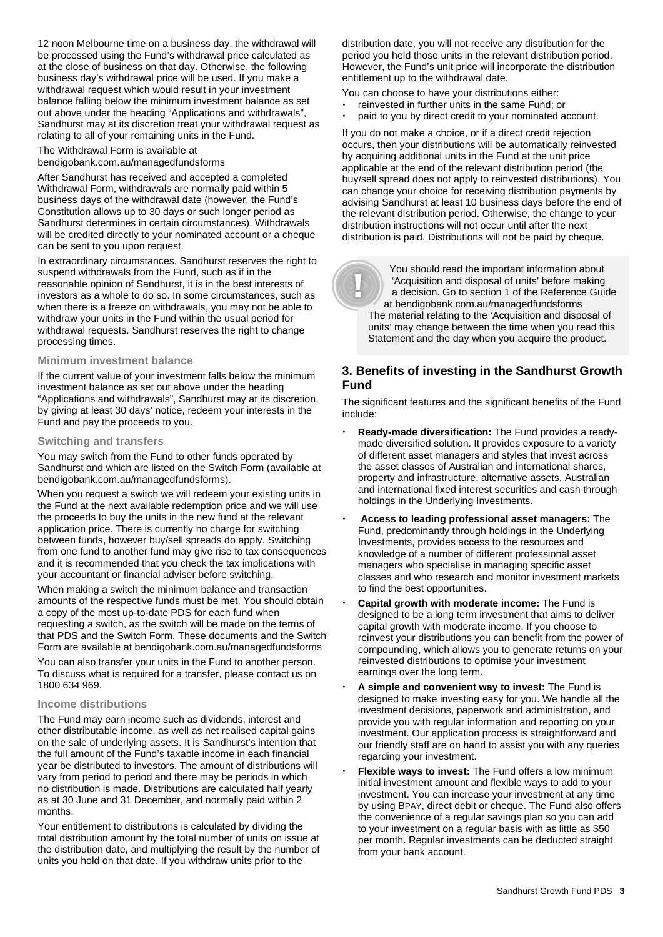12 noon Melbourne time on a business day, the withdrawal will be processed using the Fund's withdrawal price calculated as at the close of business on that day. Otherwise, the following business day's withdrawal price will be used. If you make a withdrawal request which would result in your investment balance falling below the minimum investment balance as set out above under the heading "Applications and withdrawals", Sandhurst may at its discretion treat your withdrawal request as relating to all of your remaining units in the Fund.

The Withdrawal Form is available at [bendigobank.com.au/managedfundsf](https://bendigobank.com.au/managedfundsforms)orms

After Sandhurst has received and accepted a completed Withdrawal Form, withdrawals are normally paid within 5 business days of the withdrawal date (however, the Fund's Constitution allows up to 30 days or such longer period as Sandhurst determines in certain circumstances). Withdrawals will be credited directly to your nominated account or a cheque can be sent to you upon request.

In extraordinary circumstances, Sandhurst reserves the right to suspend withdrawals from the Fund, such as if in the reasonable opinion of Sandhurst, it is in the best interests of investors as a whole to do so. In some circumstances, such as when there is a freeze on withdrawals, you may not be able to withdraw your units in the Fund within the usual period for withdrawal requests. Sandhurst reserves the right to change processing times.

## **Minimum investment balance**

If the current value of your investment falls below the minimum investment balance as set out above under the heading "Applications and withdrawals", Sandhurst may at its discretion, by giving at least 30 days' notice, redeem your interests in the Fund and pay the proceeds to you.

## **Switching and transfers**

You may switch from the Fund to other funds operated by Sandhurst and which are listed on the Switch Form (available at bendigobank.com.au/managedfundsforms).

When you request a switch we will redeem your existing units in the Fund at the next available redemption price and we will use the proceeds to buy the units in the new fund at the relevant application price. There is currently no charge for switching between funds, however buy/sell spreads do apply. Switching from one fund to another fund may give rise to tax consequences and it is recommended that you check the tax implications with your accountant or financial adviser before switching.

When making a switch the minimum balance and transaction amounts of the respective funds must be met. You should obtain a copy of the most up-to-date PDS for each fund when requesting a switch, as the switch will be made on the terms of that PDS and the Switch Form. These documents and the Switch Form are available at [bendigobank.com.au/managedfundsf](https://bendigobank.com.au/managedfundsforms)orms

You can also transfer your units in the Fund to another person. To discuss what is required for a transfer, please contact us on 1800 634 969.

## **Income distributions**

The Fund may earn income such as dividends, interest and other distributable income, as well as net realised capital gains on the sale of underlying assets. It is Sandhurst's intention that the full amount of the Fund's taxable income in each financial year be distributed to investors. The amount of distributions will vary from period to period and there may be periods in which no distribution is made. Distributions are calculated half yearly as at 30 June and 31 December, and normally paid within 2 months.

Your entitlement to distributions is calculated by dividing the total distribution amount by the total number of units on issue at the distribution date, and multiplying the result by the number of units you hold on that date. If you withdraw units prior to the

distribution date, you will not receive any distribution for the period you held those units in the relevant distribution period. However, the Fund's unit price will incorporate the distribution entitlement up to the withdrawal date.

- You can choose to have your distributions either:
- reinvested in further units in the same Fund; or
- paid to you by direct credit to your nominated account.

If you do not make a choice, or if a direct credit rejection occurs, then your distributions will be automatically reinvested by acquiring additional units in the Fund at the unit price applicable at the end of the relevant distribution period (the buy/sell spread does not apply to reinvested distributions). You can change your choice for receiving distribution payments by advising Sandhurst at least 10 business days before the end of the relevant distribution period. Otherwise, the change to your distribution instructions will not occur until after the next distribution is paid. Distributions will not be paid by cheque.

 You should read the important information about 'Acquisition and disposal of units' before making a decision. Go to section 1 of the Reference Guide at [bendigobank.com.au/managedfundsf](https://bendigobank.com.au/managedfundsforms)orms The material relating to the 'Acquisition and disposal of units' may change between the time when you read this Statement and the day when you acquire the product.

## **3. Benefits of investing in the Sandhurst Growth Fund**

The significant features and the significant benefits of the Fund include:

- **Ready-made diversification:** The Fund provides a readymade diversified solution. It provides exposure to a variety of different asset managers and styles that invest across the asset classes of Australian and international shares, property and infrastructure, alternative assets, Australian and international fixed interest securities and cash through holdings in the Underlying Investments.
- **Access to leading professional asset managers:** The Fund, predominantly through holdings in the Underlying Investments, provides access to the resources and knowledge of a number of different professional asset managers who specialise in managing specific asset classes and who research and monitor investment markets to find the best opportunities.
- **Capital growth with moderate income:** The Fund is designed to be a long term investment that aims to deliver capital growth with moderate income. If you choose to reinvest your distributions you can benefit from the power of compounding, which allows you to generate returns on your reinvested distributions to optimise your investment earnings over the long term.
- **A simple and convenient way to invest:** The Fund is designed to make investing easy for you. We handle all the investment decisions, paperwork and administration, and provide you with regular information and reporting on your investment. Our application process is straightforward and our friendly staff are on hand to assist you with any queries regarding your investment.
- **Flexible ways to invest:** The Fund offers a low minimum initial investment amount and flexible ways to add to your investment. You can increase your investment at any time by using BPAY, direct debit or cheque. The Fund also offers the convenience of a regular savings plan so you can add to your investment on a regular basis with as little as \$50 per month. Regular investments can be deducted straight from your bank account.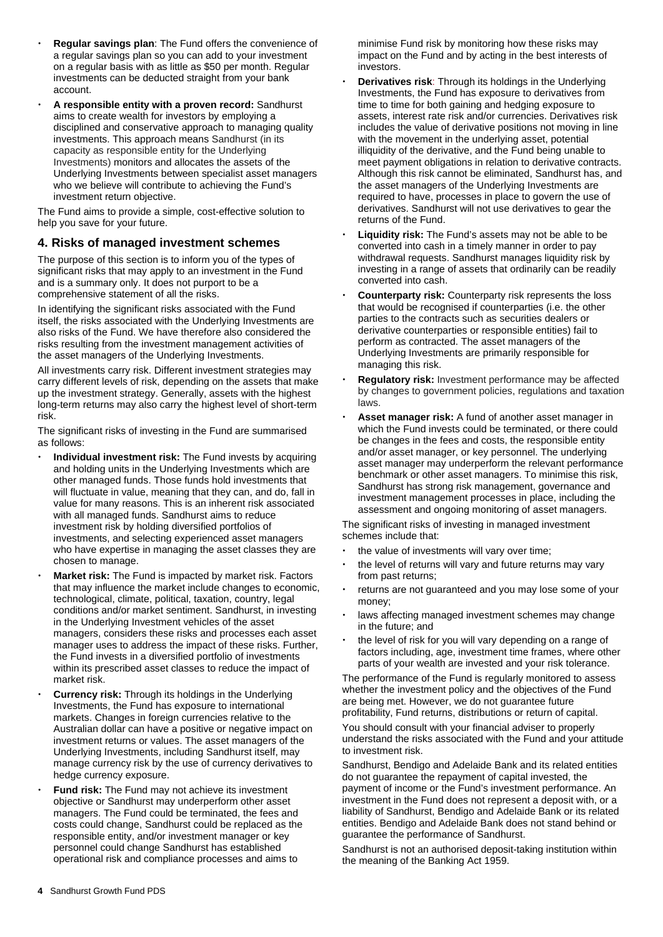- **Regular savings plan**: The Fund offers the convenience of a regular savings plan so you can add to your investment on a regular basis with as little as \$50 per month. Regular investments can be deducted straight from your bank account.
- **A responsible entity with a proven record:** Sandhurst aims to create wealth for investors by employing a disciplined and conservative approach to managing quality investments. This approach means Sandhurst (in its capacity as responsible entity for the Underlying Investments) monitors and allocates the assets of the Underlying Investments between specialist asset managers who we believe will contribute to achieving the Fund's investment return objective.

The Fund aims to provide a simple, cost-effective solution to help you save for your future.

## **4. Risks of managed investment schemes**

The purpose of this section is to inform you of the types of significant risks that may apply to an investment in the Fund and is a summary only. It does not purport to be a comprehensive statement of all the risks.

In identifying the significant risks associated with the Fund itself, the risks associated with the Underlying Investments are also risks of the Fund. We have therefore also considered the risks resulting from the investment management activities of the asset managers of the Underlying Investments.

All investments carry risk. Different investment strategies may carry different levels of risk, depending on the assets that make up the investment strategy. Generally, assets with the highest long-term returns may also carry the highest level of short-term risk.

The significant risks of investing in the Fund are summarised as follows:

- **Individual investment risk:** The Fund invests by acquiring and holding units in the Underlying Investments which are other managed funds. Those funds hold investments that will fluctuate in value, meaning that they can, and do, fall in value for many reasons. This is an inherent risk associated with all managed funds. Sandhurst aims to reduce investment risk by holding diversified portfolios of investments, and selecting experienced asset managers who have expertise in managing the asset classes they are chosen to manage.
- **Market risk:** The Fund is impacted by market risk. Factors that may influence the market include changes to economic, technological, climate, political, taxation, country, legal conditions and/or market sentiment. Sandhurst, in investing in the Underlying Investment vehicles of the asset managers, considers these risks and processes each asset manager uses to address the impact of these risks. Further, the Fund invests in a diversified portfolio of investments within its prescribed asset classes to reduce the impact of market risk.
- **Currency risk:** Through its holdings in the Underlying Investments, the Fund has exposure to international markets. Changes in foreign currencies relative to the Australian dollar can have a positive or negative impact on investment returns or values. The asset managers of the Underlying Investments, including Sandhurst itself, may manage currency risk by the use of currency derivatives to hedge currency exposure.
- **Fund risk:** The Fund may not achieve its investment objective or Sandhurst may underperform other asset managers. The Fund could be terminated, the fees and costs could change, Sandhurst could be replaced as the responsible entity, and/or investment manager or key personnel could change Sandhurst has established operational risk and compliance processes and aims to

minimise Fund risk by monitoring how these risks may impact on the Fund and by acting in the best interests of investors.

- **Derivatives risk**: Through its holdings in the Underlying Investments, the Fund has exposure to derivatives from time to time for both gaining and hedging exposure to assets, interest rate risk and/or currencies. Derivatives risk includes the value of derivative positions not moving in line with the movement in the underlying asset, potential illiquidity of the derivative, and the Fund being unable to meet payment obligations in relation to derivative contracts. Although this risk cannot be eliminated, Sandhurst has, and the asset managers of the Underlying Investments are required to have, processes in place to govern the use of derivatives. Sandhurst will not use derivatives to gear the returns of the Fund.
- **Liquidity risk:** The Fund's assets may not be able to be converted into cash in a timely manner in order to pay withdrawal requests. Sandhurst manages liquidity risk by investing in a range of assets that ordinarily can be readily converted into cash.
- **Counterparty risk:** Counterparty risk represents the loss that would be recognised if counterparties (i.e. the other parties to the contracts such as securities dealers or derivative counterparties or responsible entities) fail to perform as contracted. The asset managers of the Underlying Investments are primarily responsible for managing this risk.
- **Regulatory risk:** Investment performance may be affected by changes to government policies, regulations and taxation laws.
- **Asset manager risk:** A fund of another asset manager in which the Fund invests could be terminated, or there could be changes in the fees and costs, the responsible entity and/or asset manager, or key personnel. The underlying asset manager may underperform the relevant performance benchmark or other asset managers. To minimise this risk, Sandhurst has strong risk management, governance and investment management processes in place, including the assessment and ongoing monitoring of asset managers.

The significant risks of investing in managed investment schemes include that:

- the value of investments will vary over time;
- the level of returns will vary and future returns may vary from past returns;
- returns are not guaranteed and you may lose some of your money;
- laws affecting managed investment schemes may change in the future; and
- the level of risk for you will vary depending on a range of factors including, age, investment time frames, where other parts of your wealth are invested and your risk tolerance.

The performance of the Fund is regularly monitored to assess whether the investment policy and the objectives of the Fund are being met. However, we do not guarantee future profitability, Fund returns, distributions or return of capital.

You should consult with your financial adviser to properly understand the risks associated with the Fund and your attitude to investment risk.

Sandhurst, Bendigo and Adelaide Bank and its related entities do not guarantee the repayment of capital invested, the payment of income or the Fund's investment performance. An investment in the Fund does not represent a deposit with, or a liability of Sandhurst, Bendigo and Adelaide Bank or its related entities. Bendigo and Adelaide Bank does not stand behind or guarantee the performance of Sandhurst.

Sandhurst is not an authorised deposit-taking institution within the meaning of the Banking Act 1959.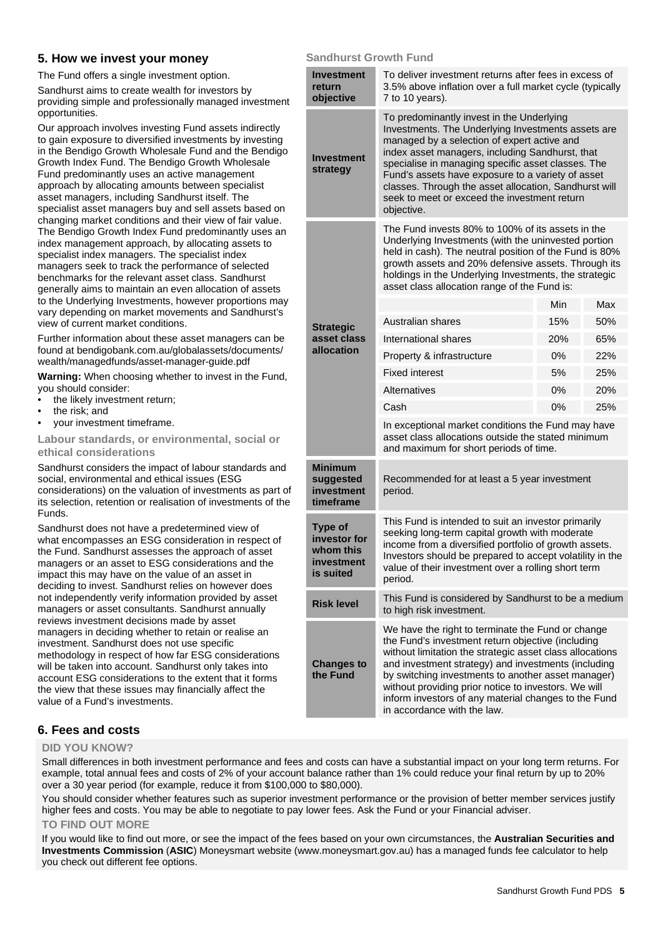## **5. How we invest your money**

The Fund offers a single investment option.

Sandhurst aims to create wealth for investors by providing simple and professionally managed investment opportunities.

Our approach involves investing Fund assets indirectly to gain exposure to diversified investments by investing in the Bendigo Growth Wholesale Fund and the Bendigo Growth Index Fund. The Bendigo Growth Wholesale Fund predominantly uses an active management approach by allocating amounts between specialist asset managers, including Sandhurst itself. The specialist asset managers buy and sell assets based on changing market conditions and their view of fair value. The Bendigo Growth Index Fund predominantly uses an index management approach, by allocating assets to specialist index managers. The specialist index managers seek to track the performance of selected benchmarks for the relevant asset class. Sandhurst generally aims to maintain an even allocation of assets to the Underlying Investments, however proportions may vary depending on market movements and Sandhurst's view of current market conditions.

Further information about these asset managers can be found at [bendigobank.com.au/globalassets/documents/](https://www.bendigobank.com.au/globalassets/documents/wealth/managedfunds/asset-manager-guide.pdf)  [wealth/managedfunds/asset-manager-guide.pdf](https://www.bendigobank.com.au/globalassets/documents/wealth/managedfunds/asset-manager-guide.pdf)

**Warning:** When choosing whether to invest in the Fund, you should consider:

- the likely investment return;
- the risk; and
- your investment timeframe.

**Labour standards, or environmental, social or ethical considerations** 

Sandhurst considers the impact of labour standards and social, environmental and ethical issues (ESG considerations) on the valuation of investments as part of its selection, retention or realisation of investments of the Funds.

Sandhurst does not have a predetermined view of what encompasses an ESG consideration in respect of the Fund. Sandhurst assesses the approach of asset managers or an asset to ESG considerations and the impact this may have on the value of an asset in deciding to invest. Sandhurst relies on however does not independently verify information provided by asset managers or asset consultants. Sandhurst annually reviews investment decisions made by asset managers in deciding whether to retain or realise an investment. Sandhurst does not use specific methodology in respect of how far ESG considerations will be taken into account. Sandhurst only takes into account ESG considerations to the extent that it forms the view that these issues may financially affect the value of a Fund's investments.

## **Sandhurst Growth Fund**

| <b>Investment</b><br>return<br>objective                               | To deliver investment returns after fees in excess of<br>3.5% above inflation over a full market cycle (typically<br>7 to 10 years).                                                                                                                                                                                                                                                                                                |     |     |
|------------------------------------------------------------------------|-------------------------------------------------------------------------------------------------------------------------------------------------------------------------------------------------------------------------------------------------------------------------------------------------------------------------------------------------------------------------------------------------------------------------------------|-----|-----|
| <b>Investment</b><br>strategy                                          | To predominantly invest in the Underlying<br>Investments. The Underlying Investments assets are<br>managed by a selection of expert active and<br>index asset managers, including Sandhurst, that<br>specialise in managing specific asset classes. The<br>Fund's assets have exposure to a variety of asset<br>classes. Through the asset allocation, Sandhurst will<br>seek to meet or exceed the investment return<br>objective. |     |     |
|                                                                        | The Fund invests 80% to 100% of its assets in the<br>Underlying Investments (with the uninvested portion<br>held in cash). The neutral position of the Fund is 80%<br>growth assets and 20% defensive assets. Through its<br>holdings in the Underlying Investments, the strategic<br>asset class allocation range of the Fund is:                                                                                                  |     |     |
|                                                                        |                                                                                                                                                                                                                                                                                                                                                                                                                                     | Min | Max |
| <b>Strategic</b>                                                       | Australian shares                                                                                                                                                                                                                                                                                                                                                                                                                   | 15% | 50% |
| asset class                                                            | International shares                                                                                                                                                                                                                                                                                                                                                                                                                | 20% | 65% |
| allocation                                                             | Property & infrastructure                                                                                                                                                                                                                                                                                                                                                                                                           | 0%  | 22% |
|                                                                        | <b>Fixed interest</b>                                                                                                                                                                                                                                                                                                                                                                                                               | 5%  | 25% |
|                                                                        | Alternatives                                                                                                                                                                                                                                                                                                                                                                                                                        | 0%  | 20% |
|                                                                        | Cash                                                                                                                                                                                                                                                                                                                                                                                                                                | 0%  | 25% |
|                                                                        | In exceptional market conditions the Fund may have<br>asset class allocations outside the stated minimum<br>and maximum for short periods of time.                                                                                                                                                                                                                                                                                  |     |     |
| <b>Minimum</b><br>suggested<br>investment<br>timeframe                 | Recommended for at least a 5 year investment<br>period.                                                                                                                                                                                                                                                                                                                                                                             |     |     |
| <b>Type of</b><br>investor for<br>whom this<br>investment<br>is suited | This Fund is intended to suit an investor primarily<br>seeking long-term capital growth with moderate<br>income from a diversified portfolio of growth assets.<br>Investors should be prepared to accept volatility in the<br>value of their investment over a rolling short term<br>period.                                                                                                                                        |     |     |
| <b>Risk level</b>                                                      | This Fund is considered by Sandhurst to be a medium<br>to high risk investment.                                                                                                                                                                                                                                                                                                                                                     |     |     |
| <b>Changes to</b><br>the Fund                                          | We have the right to terminate the Fund or change<br>the Fund's investment return objective (including<br>without limitation the strategic asset class allocations<br>and investment strategy) and investments (including<br>by switching investments to another asset manager)<br>without providing prior notice to investors. We will<br>inform investors of any material changes to the Fund<br>in accordance with the law.      |     |     |

## **6. Fees and costs**

## **DID YOU KNOW?**

Small differences in both investment performance and fees and costs can have a substantial impact on your long term returns. For example, total annual fees and costs of 2% of your account balance rather than 1% could reduce your final return by up to 20% over a 30 year period (for example, reduce it from \$100,000 to \$80,000).

You should consider whether features such as superior investment performance or the provision of better member services justify higher fees and costs. You may be able to negotiate to pay lower fees. Ask the Fund or your Financial adviser.

## **TO FIND OUT MORE**

If you would like to find out more, or see the impact of the fees based on your own circumstances, the **Australian Securities and Investments Commission** (**ASIC**) Moneysmart website [\(www.moneysmart.gov.au\)](https://moneysmart.gov.au/) has a managed funds fee calculator to help you check out different fee options.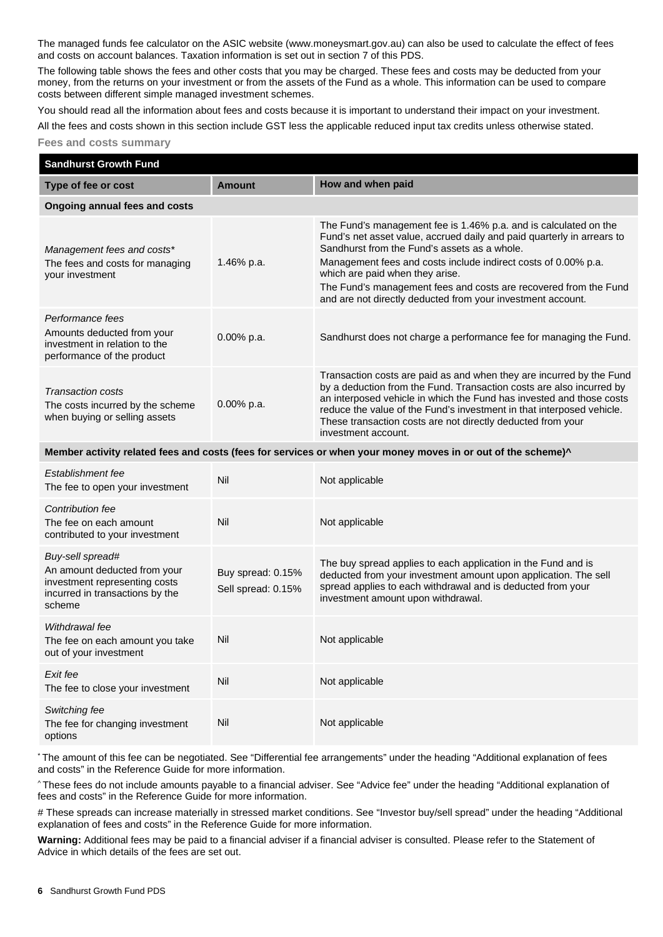The managed funds fee calculator on the ASIC website [\(www.moneysmart.gov.au\)](https://moneysmart.gov.au/) can also be used to calculate the effect of fees and costs on account balances. Taxation information is set out in section 7 of this PDS.

The following table shows the fees and other costs that you may be charged. These fees and costs may be deducted from your money, from the returns on your investment or from the assets of the Fund as a whole. This information can be used to compare costs between different simple managed investment schemes.

You should read all the information about fees and costs because it is important to understand their impact on your investment.

All the fees and costs shown in this section include GST less the applicable reduced input tax credits unless otherwise stated.

**Fees and costs summary** 

| <b>Sandhurst Growth Fund</b>                                                                                                   |                                         |                                                                                                                                                                                                                                                                                                                                                                                                                                    |
|--------------------------------------------------------------------------------------------------------------------------------|-----------------------------------------|------------------------------------------------------------------------------------------------------------------------------------------------------------------------------------------------------------------------------------------------------------------------------------------------------------------------------------------------------------------------------------------------------------------------------------|
| Type of fee or cost                                                                                                            | <b>Amount</b>                           | How and when paid                                                                                                                                                                                                                                                                                                                                                                                                                  |
| Ongoing annual fees and costs                                                                                                  |                                         |                                                                                                                                                                                                                                                                                                                                                                                                                                    |
| Management fees and costs*<br>The fees and costs for managing<br>your investment                                               | 1.46% p.a.                              | The Fund's management fee is 1.46% p.a. and is calculated on the<br>Fund's net asset value, accrued daily and paid quarterly in arrears to<br>Sandhurst from the Fund's assets as a whole.<br>Management fees and costs include indirect costs of 0.00% p.a.<br>which are paid when they arise.<br>The Fund's management fees and costs are recovered from the Fund<br>and are not directly deducted from your investment account. |
| Performance fees<br>Amounts deducted from your<br>investment in relation to the<br>performance of the product                  | 0.00% p.a.                              | Sandhurst does not charge a performance fee for managing the Fund.                                                                                                                                                                                                                                                                                                                                                                 |
| Transaction costs<br>The costs incurred by the scheme<br>when buying or selling assets                                         | $0.00\%$ p.a.                           | Transaction costs are paid as and when they are incurred by the Fund<br>by a deduction from the Fund. Transaction costs are also incurred by<br>an interposed vehicle in which the Fund has invested and those costs<br>reduce the value of the Fund's investment in that interposed vehicle.<br>These transaction costs are not directly deducted from your<br>investment account.                                                |
|                                                                                                                                |                                         | Member activity related fees and costs (fees for services or when your money moves in or out of the scheme)^                                                                                                                                                                                                                                                                                                                       |
| Establishment fee<br>The fee to open your investment                                                                           | Nil                                     | Not applicable                                                                                                                                                                                                                                                                                                                                                                                                                     |
| Contribution fee<br>The fee on each amount<br>contributed to your investment                                                   | Nil                                     | Not applicable                                                                                                                                                                                                                                                                                                                                                                                                                     |
| Buy-sell spread#<br>An amount deducted from your<br>investment representing costs<br>incurred in transactions by the<br>scheme | Buy spread: 0.15%<br>Sell spread: 0.15% | The buy spread applies to each application in the Fund and is<br>deducted from your investment amount upon application. The sell<br>spread applies to each withdrawal and is deducted from your<br>investment amount upon withdrawal.                                                                                                                                                                                              |
| Withdrawal fee<br>The fee on each amount you take<br>out of your investment                                                    | Nil                                     | Not applicable                                                                                                                                                                                                                                                                                                                                                                                                                     |
| Exit fee<br>The fee to close your investment                                                                                   | Nil                                     | Not applicable                                                                                                                                                                                                                                                                                                                                                                                                                     |
| Switching fee<br>The fee for changing investment<br>options                                                                    | Nil                                     | Not applicable                                                                                                                                                                                                                                                                                                                                                                                                                     |

\* The amount of this fee can be negotiated. See "Differential fee arrangements" under the heading "Additional explanation of fees and costs" in the Reference Guide for more information.

^ These fees do not include amounts payable to a financial adviser. See "Advice fee" under the heading "Additional explanation of fees and costs" in the Reference Guide for more information.

# These spreads can increase materially in stressed market conditions. See "Investor buy/sell spread" under the heading "Additional explanation of fees and costs" in the Reference Guide for more information.

**Warning:** Additional fees may be paid to a financial adviser if a financial adviser is consulted. Please refer to the Statement of Advice in which details of the fees are set out.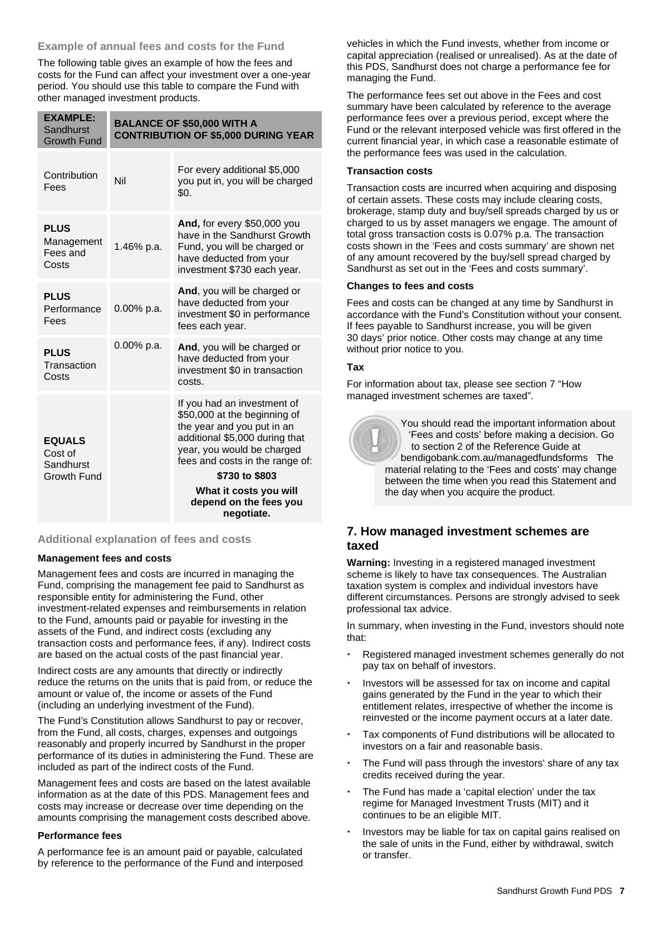## **Example of annual fees and costs for the Fund**

The following table gives an example of how the fees and costs for the Fund can affect your investment over a one-year period. You should use this table to compare the Fund with other managed investment products.

| <b>EXAMPLE:</b><br>Sandhurst<br><b>Growth Fund</b> | <b>BALANCE OF \$50,000 WITH A</b><br><b>CONTRIBUTION OF \$5,000 DURING YEAR</b> |                                                                                                                                                                                              |
|----------------------------------------------------|---------------------------------------------------------------------------------|----------------------------------------------------------------------------------------------------------------------------------------------------------------------------------------------|
| Contribution<br>Fees                               | Nil                                                                             | For every additional \$5,000<br>you put in, you will be charged<br>\$0.                                                                                                                      |
| <b>PLUS</b><br>Management<br>Fees and<br>Costs     | 1.46% p.a.                                                                      | And, for every \$50,000 you<br>have in the Sandhurst Growth<br>Fund, you will be charged or<br>have deducted from your<br>investment \$730 each year.                                        |
| <b>PLUS</b><br>Performance<br>Fees                 | 0.00% p.a.                                                                      | And, you will be charged or<br>have deducted from your<br>investment \$0 in performance<br>fees each year.                                                                                   |
| <b>PLUS</b><br>Transaction<br>Costs                | $0.00\%$ p.a.                                                                   | And, you will be charged or<br>have deducted from your<br>investment \$0 in transaction<br>costs.                                                                                            |
| <b>EQUALS</b><br>Cost of<br>Sandhurst              |                                                                                 | If you had an investment of<br>\$50,000 at the beginning of<br>the year and you put in an<br>additional \$5,000 during that<br>year, you would be charged<br>fees and costs in the range of: |
| Growth Fund                                        |                                                                                 | \$730 to \$803                                                                                                                                                                               |
|                                                    |                                                                                 | What it costs you will<br>depend on the fees you<br>negotiate.                                                                                                                               |

## **Additional explanation of fees and costs**

## **Management fees and costs**

Management fees and costs are incurred in managing the Fund, comprising the management fee paid to Sandhurst as responsible entity for administering the Fund, other investment-related expenses and reimbursements in relation to the Fund, amounts paid or payable for investing in the assets of the Fund, and indirect costs (excluding any transaction costs and performance fees, if any). Indirect costs are based on the actual costs of the past financial year.

Indirect costs are any amounts that directly or indirectly reduce the returns on the units that is paid from, or reduce the amount or value of, the income or assets of the Fund (including an underlying investment of the Fund).

The Fund's Constitution allows Sandhurst to pay or recover, from the Fund, all costs, charges, expenses and outgoings reasonably and properly incurred by Sandhurst in the proper performance of its duties in administering the Fund. These are included as part of the indirect costs of the Fund.

Management fees and costs are based on the latest available information as at the date of this PDS. Management fees and costs may increase or decrease over time depending on the amounts comprising the management costs described above.

#### **Performance fees**

A performance fee is an amount paid or payable, calculated by reference to the performance of the Fund and interposed vehicles in which the Fund invests, whether from income or capital appreciation (realised or unrealised). As at the date of this PDS, Sandhurst does not charge a performance fee for managing the Fund.

The performance fees set out above in the Fees and cost summary have been calculated by reference to the average performance fees over a previous period, except where the Fund or the relevant interposed vehicle was first offered in the current financial year, in which case a reasonable estimate of the performance fees was used in the calculation.

## **Transaction costs**

Transaction costs are incurred when acquiring and disposing of certain assets. These costs may include clearing costs, brokerage, stamp duty and buy/sell spreads charged by us or charged to us by asset managers we engage. The amount of total gross transaction costs is 0.07% p.a. The transaction costs shown in the 'Fees and costs summary' are shown net of any amount recovered by the buy/sell spread charged by Sandhurst as set out in the 'Fees and costs summary'.

## **Changes to fees and costs**

Fees and costs can be changed at any time by Sandhurst in accordance with the Fund's Constitution without your consent. If fees payable to Sandhurst increase, you will be given 30 days' prior notice. Other costs may change at any time without prior notice to you.

## **Tax**

For information about tax, please see section 7 "How managed investment schemes are taxed".



 You should read the important information about 'Fees and costs' before making a decision. Go to section 2 of the Reference Guide at [bendigobank.com.au/managedfundsf](https://bendigobank.com.au/managedfundsforms)orms The material relating to the 'Fees and costs' may change between the time when you read this Statement and the day when you acquire the product.

## **7. How managed investment schemes are taxed**

**Warning:** Investing in a registered managed investment scheme is likely to have tax consequences. The Australian taxation system is complex and individual investors have different circumstances. Persons are strongly advised to seek professional tax advice.

In summary, when investing in the Fund, investors should note that:

- Registered managed investment schemes generally do not pay tax on behalf of investors.
- Investors will be assessed for tax on income and capital gains generated by the Fund in the year to which their entitlement relates, irrespective of whether the income is reinvested or the income payment occurs at a later date.
- Tax components of Fund distributions will be allocated to investors on a fair and reasonable basis.
- The Fund will pass through the investors' share of any tax credits received during the year.
- The Fund has made a 'capital election' under the tax regime for Managed Investment Trusts (MIT) and it continues to be an eligible MIT.
- Investors may be liable for tax on capital gains realised on the sale of units in the Fund, either by withdrawal, switch or transfer.